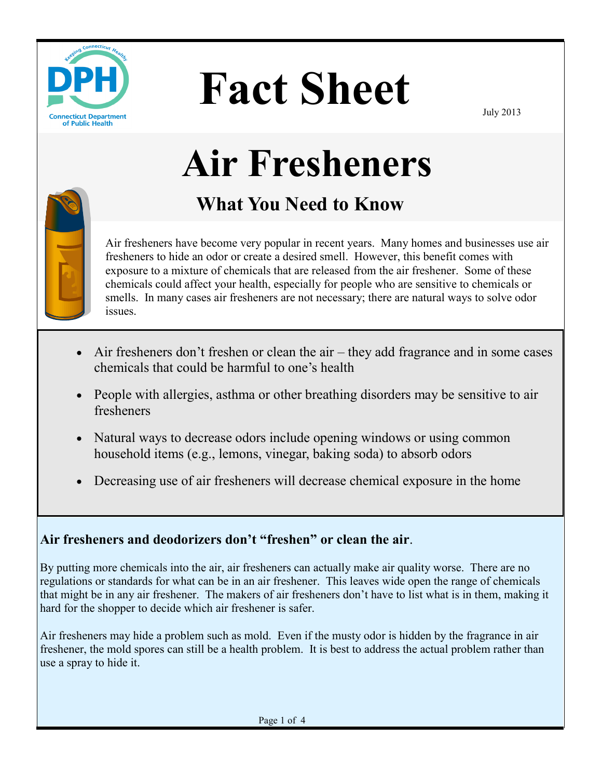

# **Fact Sheet**

July 2013

# **Air Fresheners**

# **What You Need to Know**

Air fresheners have become very popular in recent years. Many homes and businesses use air fresheners to hide an odor or create a desired smell. However, this benefit comes with exposure to a mixture of chemicals that are released from the air freshener. Some of these chemicals could affect your health, especially for people who are sensitive to chemicals or smells. In many cases air fresheners are not necessary; there are natural ways to solve odor issues.

- Air fresheners don't freshen or clean the air they add fragrance and in some cases chemicals that could be harmful to one's health
- People with allergies, asthma or other breathing disorders may be sensitive to air fresheners
- Natural ways to decrease odors include opening windows or using common household items (e.g., lemons, vinegar, baking soda) to absorb odors
- Decreasing use of air fresheners will decrease chemical exposure in the home

#### **Air fresheners and deodorizers don't "freshen" or clean the air**.

By putting more chemicals into the air, air fresheners can actually make air quality worse. There are no regulations or standards for what can be in an air freshener. This leaves wide open the range of chemicals that might be in any air freshener. The makers of air fresheners don't have to list what is in them, making it hard for the shopper to decide which air freshener is safer.

Air fresheners may hide a problem such as mold. Even if the musty odor is hidden by the fragrance in air freshener, the mold spores can still be a health problem. It is best to address the actual problem rather than use a spray to hide it.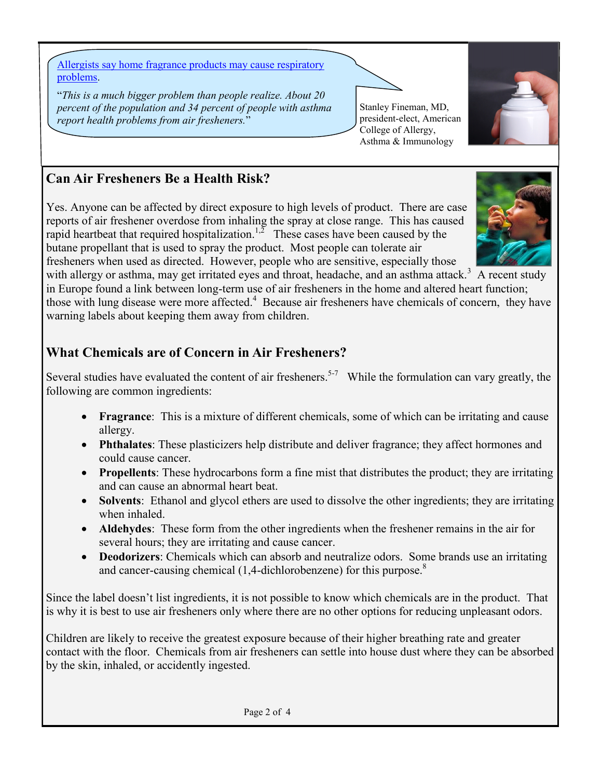[Allergists say home fragrance products may cause respiratory](http://www.newswise.com/articles/unplug-indoor-pollutants-for-a-breath-of-fresh-air-allergists-say-home-fragrance-products-may-cause-respiratory-problems)  [problems.](http://www.newswise.com/articles/unplug-indoor-pollutants-for-a-breath-of-fresh-air-allergists-say-home-fragrance-products-may-cause-respiratory-problems)

"*This is a much bigger problem than people realize. About 20 percent of the population and 34 percent of people with asthma report health problems from air fresheners.*"



Stanley Fineman, MD, president-elect, American College of Allergy, Asthma & Immunology

### **Can Air Fresheners Be a Health Risk?**

Yes. Anyone can be affected by direct exposure to high levels of product. There are case reports of air freshener overdose from inhaling the spray at close range. This has caused rapid heartbeat that required hospitalization.<sup>1,2</sup> These cases have been caused by the butane propellant that is used to spray the product. Most people can tolerate air fresheners when used as directed. However, people who are sensitive, especially those

with allergy or asthma, may get irritated eyes and throat, headache, and an asthma attack.<sup>3</sup> A recent study

in Europe found a link between long-term use of air fresheners in the home and altered heart function; those with lung disease were more affected.<sup>4</sup> Because air fresheners have chemicals of concern, they have warning labels about keeping them away from children.

### **What Chemicals are of Concern in Air Fresheners?**

Several studies have evaluated the content of air fresheners.<sup>5-7</sup> While the formulation can vary greatly, the following are common ingredients:

- **Fragrance**: This is a mixture of different chemicals, some of which can be irritating and cause allergy.
- **Phthalates**: These plasticizers help distribute and deliver fragrance; they affect hormones and could cause cancer.
- **Propellents**: These hydrocarbons form a fine mist that distributes the product; they are irritating and can cause an abnormal heart beat.
- **Solvents**: Ethanol and glycol ethers are used to dissolve the other ingredients; they are irritating when inhaled.
- **Aldehydes**: These form from the other ingredients when the freshener remains in the air for several hours; they are irritating and cause cancer.
- **Deodorizers**: Chemicals which can absorb and neutralize odors. Some brands use an irritating and cancer-causing chemical  $(1,4$ -dichlorobenzene) for this purpose.<sup>8</sup>

Since the label doesn't list ingredients, it is not possible to know which chemicals are in the product. That is why it is best to use air fresheners only where there are no other options for reducing unpleasant odors.

Children are likely to receive the greatest exposure because of their higher breathing rate and greater contact with the floor. Chemicals from air fresheners can settle into house dust where they can be absorbed by the skin, inhaled, or accidently ingested.

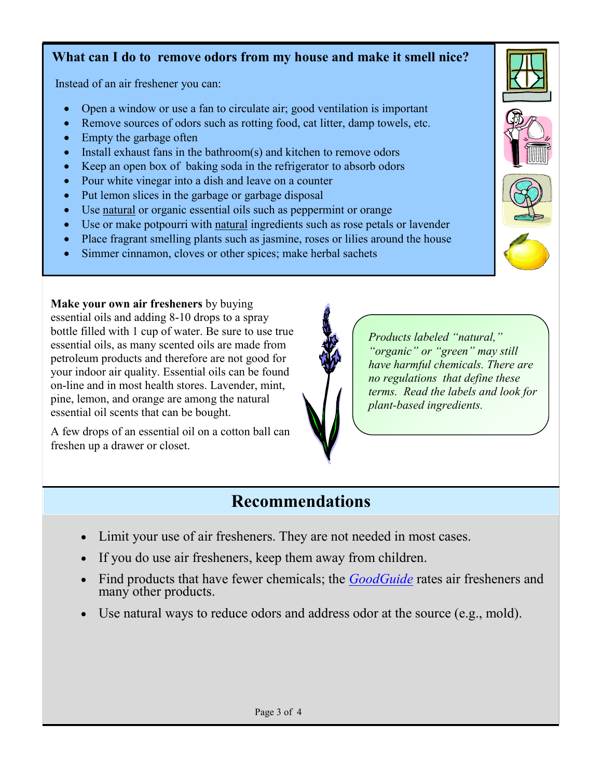#### **What can I do to remove odors from my house and make it smell nice?**

Instead of an air freshener you can:

- Open a window or use a fan to circulate air; good ventilation is important
- Remove sources of odors such as rotting food, cat litter, damp towels, etc.
- Empty the garbage often
- Install exhaust fans in the bathroom(s) and kitchen to remove odors
- Keep an open box of baking soda in the refrigerator to absorb odors
- Pour white vinegar into a dish and leave on a counter
- Put lemon slices in the garbage or garbage disposal
- Use natural or organic essential oils such as peppermint or orange
- Use or make potpourri with natural ingredients such as rose petals or lavender
- Place fragrant smelling plants such as jasmine, roses or lilies around the house
- Simmer cinnamon, cloves or other spices; make herbal sachets

**Make your own air fresheners** by buying essential oils and adding 8-10 drops to a spray bottle filled with 1 cup of water. Be sure to use true essential oils, as many scented oils are made from petroleum products and therefore are not good for your indoor air quality. Essential oils can be found on-line and in most health stores. Lavender, mint, pine, lemon, and orange are among the natural essential oil scents that can be bought.

A few drops of an essential oil on a cotton ball can freshen up a drawer or closet.



*Products labeled "natural," "organic" or "green" may still have harmful chemicals. There are no regulations that define these terms. Read the labels and look for plant-based ingredients.* 

## **Recommendations**

- Limit your use of air fresheners. They are not needed in most cases.
- If you do use air fresheners, keep them away from children.
- Find products that have fewer chemicals; the *[GoodGuide](http://www.goodguide.com/categories/167203-air-fresheners)* rates air fresheners and many other products.
- Use natural ways to reduce odors and address odor at the source (e.g., mold).